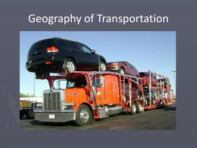## Geography of Transportation

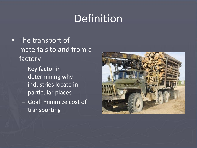# Definition

- The transport of materials to and from a factory
	- Key factor in determining why industries locate in particular places
	- Goal: minimize cost of transporting

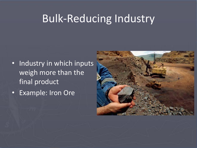#### Bulk-Reducing Industry

- Industry in which inputs weigh more than the final product
- Example: Iron Ore

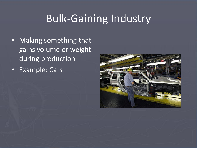# Bulk-Gaining Industry

- Making something that gains volume or weight during production
- Example: Cars

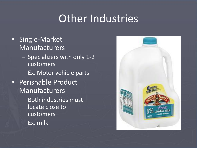## Other Industries

- Single-Market Manufacturers
	- Specializers with only 1-2 customers
	- Ex. Motor vehicle parts
- Perishable Product Manufacturers
	- Both industries must locate close to customers
	- Ex. milk

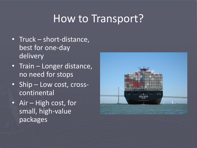#### How to Transport?

- Truck short-distance, best for one-day delivery
- Train Longer distance, no need for stops
- Ship Low cost, crosscontinental
- Air High cost, for small, high-value packages

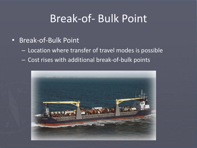## Break-of- Bulk Point

- Break-of-Bulk Point
	- Location where transfer of travel modes is possible
	- Cost rises with additional break-of-bulk points

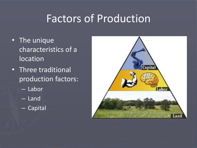## Factors of Production

- The unique characteristics of a location
- Three traditional production factors:
	- Labor
	- Land
	- Capital

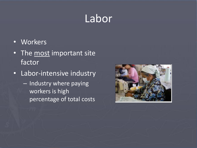## Labor

- Workers
- The most important site factor
- Labor-intensive industry
	- Industry where paying workers is high percentage of total costs

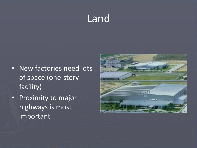# Land

- New factories need lots of space (one-story facility)
- Proximity to major highways is most important